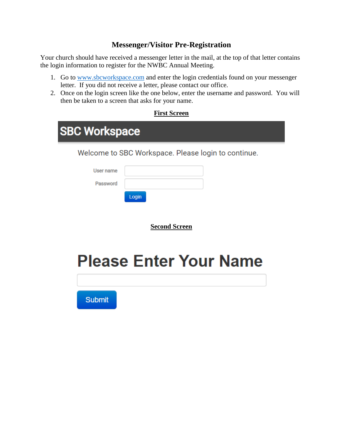#### **Messenger/Visitor Pre-Registration**

Your church should have received a messenger letter in the mail, at the top of that letter contains the login information to register for the NWBC Annual Meeting.

- 1. Go to [www.sbcworkspace.com](http://www.sbcworkspace.com/) and enter the login credentials found on your messenger letter. If you did not receive a letter, please contact our office.
- 2. Once on the login screen like the one below, enter the username and password. You will then be taken to a screen that asks for your name.

| First Screen |
|--------------|
|              |

| <b>SBC Workspace</b>  |                                                     |  |  |  |  |  |  |
|-----------------------|-----------------------------------------------------|--|--|--|--|--|--|
|                       | Welcome to SBC Workspace. Please login to continue. |  |  |  |  |  |  |
| User name<br>Password | Login                                               |  |  |  |  |  |  |
|                       | <b>Second Screen</b>                                |  |  |  |  |  |  |

# **Please Enter Your Name**

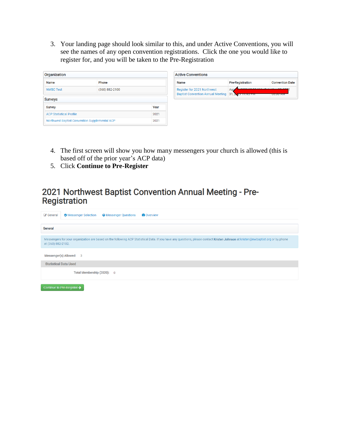3. Your landing page should look similar to this, and under Active Conventions, you will see the names of any open convention registrations. Click the one you would like to register for, and you will be taken to the Pre-Registration

| Organization                                          |                |      |
|-------------------------------------------------------|----------------|------|
| <b>Name</b>                                           | Phone          |      |
| <b>NWBC Test</b><br><b>Surveys</b>                    | (360) 882-2100 |      |
| <b>Survey</b>                                         |                | Year |
| <b>ACP Statistical Profile</b>                        |                | 2021 |
| Northwest Baptist Convention Supplemental ACP<br>2021 |                |      |

- 4. The first screen will show you how many messengers your church is allowed (this is based off of the prior year's ACP data)
- 5. Click **Continue to Pre-Register**

### 2021 Northwest Baptist Convention Annual Meeting - Pre-**Registration**

| <b>&amp;</b> General<br><b>O</b> Messenger Selection<br><b>Conduction</b> Overview<br><b>O</b> Messenger Questions                                                                                     |  |
|--------------------------------------------------------------------------------------------------------------------------------------------------------------------------------------------------------|--|
|                                                                                                                                                                                                        |  |
| General                                                                                                                                                                                                |  |
|                                                                                                                                                                                                        |  |
| Messengers for your organization are based on the following ACP Statistical Data. If you have any questions, please contact Kristen Johnson at kristen@nwbaptist.org or by phone<br>at (360) 882-2102. |  |
|                                                                                                                                                                                                        |  |
| Messenger(s) Allowed: 3                                                                                                                                                                                |  |
| <b>Statistical Data Used</b>                                                                                                                                                                           |  |
| Total Membership (2020): 0                                                                                                                                                                             |  |
| Continue to Pre-Register $\rightarrow$                                                                                                                                                                 |  |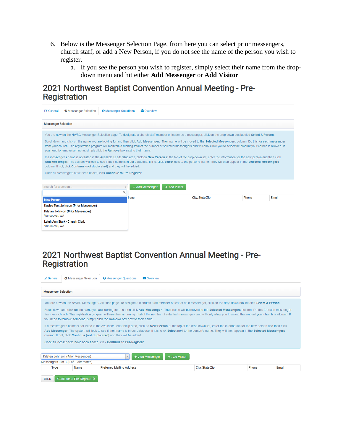- 6. Below is the Messenger Selection Page, from here you can select prior messengers, church staff, or add a New Person, if you do not see the name of the person you wish to register.
	- a. If you see the person you wish to register, simply select their name from the dropdown menu and hit either **Add Messenger** or **Add Visitor**

#### 2021 Northwest Baptist Convention Annual Meeting - Pre-Registration

| G General                  | <b>O</b> Messenger Selection                                                                                                                                                                                                                                                                                                                                                                                                                       | <b>@</b> Messenger Questions | <b>Conduction</b> |               |                        |       |       |  |  |  |
|----------------------------|----------------------------------------------------------------------------------------------------------------------------------------------------------------------------------------------------------------------------------------------------------------------------------------------------------------------------------------------------------------------------------------------------------------------------------------------------|------------------------------|-------------------|---------------|------------------------|-------|-------|--|--|--|
| <b>Messenger Selection</b> |                                                                                                                                                                                                                                                                                                                                                                                                                                                    |                              |                   |               |                        |       |       |  |  |  |
|                            | You are now on the NWBC Messenger Selection page. To designate a church staff member or leader as a messenger, click on the drop down box labeled Select A Person.                                                                                                                                                                                                                                                                                 |                              |                   |               |                        |       |       |  |  |  |
|                            | Scroll down and click on the name you are looking for and then click Add Messenger. Their name will be moved to the Selected Messengers column. Do this for each messenger<br>from your church. The registration program will maintain a running total of the number of selected messengers and will only allow you to select the amount your church is allowed. If<br>you need to remove someone, simply click the Remove box next to their name. |                              |                   |               |                        |       |       |  |  |  |
|                            | If a messenger's name is not listed in the Available Leadership area, click on New Person at the top of the drop down list, enter the information for the new person and then click<br>Add Messenger. The system will look to see if their name is in our database. If it is, click Select next to the person's name. They will then appear in the Selected Messengers<br>column. If not, click Continue (not duplicated) and they will be added.  |                              |                   |               |                        |       |       |  |  |  |
|                            | Once all Messengers have been added, click Continue to Pre-Register.                                                                                                                                                                                                                                                                                                                                                                               |                              |                   |               |                        |       |       |  |  |  |
| Search for a person        |                                                                                                                                                                                                                                                                                                                                                                                                                                                    |                              | + Add Messenger   | + Add Visitor |                        |       |       |  |  |  |
|                            |                                                                                                                                                                                                                                                                                                                                                                                                                                                    | Q                            |                   |               |                        |       |       |  |  |  |
| <b>New Person</b>          |                                                                                                                                                                                                                                                                                                                                                                                                                                                    |                              | tress             |               | <b>City, State Zip</b> | Phone | Email |  |  |  |
|                            | Kaylee Test Johnson (Prior Messenger)                                                                                                                                                                                                                                                                                                                                                                                                              |                              |                   |               |                        |       |       |  |  |  |
| Vancouver, WA              | Kristen Johnson (Prior Messenger)                                                                                                                                                                                                                                                                                                                                                                                                                  |                              |                   |               |                        |       |       |  |  |  |
| Vancouver, WA              | Leigh Ann Stark - Church Clerk                                                                                                                                                                                                                                                                                                                                                                                                                     |                              |                   |               |                        |       |       |  |  |  |

## 2021 Northwest Baptist Convention Annual Meeting - Pre-**Registration**

| <b>&amp;</b> General       | <b>O</b> Messenger Selection                                                                                                                                                                                                   | <b>O</b> Messenger Questions     | <b>Conduction</b> Overview |                                                                                                                                                                                                                                                                                                                                                                                                                                                                                                                                                                                                                                                                                                                                                                                                                                                                                                                     |       |       |
|----------------------------|--------------------------------------------------------------------------------------------------------------------------------------------------------------------------------------------------------------------------------|----------------------------------|----------------------------|---------------------------------------------------------------------------------------------------------------------------------------------------------------------------------------------------------------------------------------------------------------------------------------------------------------------------------------------------------------------------------------------------------------------------------------------------------------------------------------------------------------------------------------------------------------------------------------------------------------------------------------------------------------------------------------------------------------------------------------------------------------------------------------------------------------------------------------------------------------------------------------------------------------------|-------|-------|
|                            |                                                                                                                                                                                                                                |                                  |                            |                                                                                                                                                                                                                                                                                                                                                                                                                                                                                                                                                                                                                                                                                                                                                                                                                                                                                                                     |       |       |
| <b>Messenger Selection</b> |                                                                                                                                                                                                                                |                                  |                            |                                                                                                                                                                                                                                                                                                                                                                                                                                                                                                                                                                                                                                                                                                                                                                                                                                                                                                                     |       |       |
|                            | you need to remove someone, simply click the Remove box next to their name.<br>column. If not, click Continue (not duplicated) and they will be added.<br>Once all Messengers have been added, click Continue to Pre-Register. |                                  |                            | You are now on the NWBC Messenger Selection page. To designate a church staff member or leader as a messenger, click on the drop down box labeled Select A Person.<br>Scroll down and click on the name you are looking for and then click Add Messenger. Their name will be moved to the Selected Messengers column. Do this for each messenger<br>from your church. The registration program will maintain a running total of the number of selected messengers and will only allow you to select the amount your church is allowed. If<br>If a messenger's name is not listed in the Available Leadership area, click on New Person at the top of the drop down list, enter the information for the new person and then click<br>Add Messenger. The system will look to see if their name is in our database. If it is, click Select next to the person's name. They will then appear in the Selected Messengers |       |       |
|                            | Kristen Johnson (Prior Messenger)                                                                                                                                                                                              |                                  | + Add Messenger            | + Add Visitor                                                                                                                                                                                                                                                                                                                                                                                                                                                                                                                                                                                                                                                                                                                                                                                                                                                                                                       |       |       |
| <b>Type</b>                | Messengers 0 of 3 (0 of 0 Alternates)<br>Name                                                                                                                                                                                  | <b>Preferred Mailing Address</b> |                            | <b>City, State Zip</b>                                                                                                                                                                                                                                                                                                                                                                                                                                                                                                                                                                                                                                                                                                                                                                                                                                                                                              | Phone | Email |
|                            |                                                                                                                                                                                                                                |                                  |                            |                                                                                                                                                                                                                                                                                                                                                                                                                                                                                                                                                                                                                                                                                                                                                                                                                                                                                                                     |       |       |
| <b>Back</b>                | Continue to Pre-Register →                                                                                                                                                                                                     |                                  |                            |                                                                                                                                                                                                                                                                                                                                                                                                                                                                                                                                                                                                                                                                                                                                                                                                                                                                                                                     |       |       |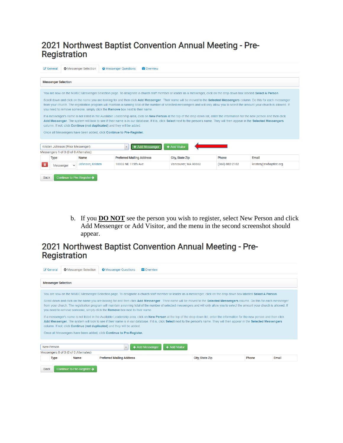## 2021 Northwest Baptist Convention Annual Meeting - Pre-Registration

| <b>&amp;</b> General |                                                                                                                                                                                                                                                                                                                                                                                                                                                    | <b>O</b> Messenger Selection | <b>O</b> Messenger Ouestions                                            | <b>Construction</b> |                                                                                                                                                                    |                |                                                                                                                                                                                                                                                                                                                                                                        |  |  |  |
|----------------------|----------------------------------------------------------------------------------------------------------------------------------------------------------------------------------------------------------------------------------------------------------------------------------------------------------------------------------------------------------------------------------------------------------------------------------------------------|------------------------------|-------------------------------------------------------------------------|---------------------|--------------------------------------------------------------------------------------------------------------------------------------------------------------------|----------------|------------------------------------------------------------------------------------------------------------------------------------------------------------------------------------------------------------------------------------------------------------------------------------------------------------------------------------------------------------------------|--|--|--|
|                      | <b>Messenger Selection</b>                                                                                                                                                                                                                                                                                                                                                                                                                         |                              |                                                                         |                     |                                                                                                                                                                    |                |                                                                                                                                                                                                                                                                                                                                                                        |  |  |  |
|                      |                                                                                                                                                                                                                                                                                                                                                                                                                                                    |                              |                                                                         |                     | You are now on the NWBC Messenger Selection page. To designate a church staff member or leader as a messenger, click on the drop down box labeled Select A Person. |                |                                                                                                                                                                                                                                                                                                                                                                        |  |  |  |
|                      | Scroll down and click on the name you are looking for and then click Add Messenger. Their name will be moved to the Selected Messengers column. Do this for each messenger<br>from your church. The registration program will maintain a running total of the number of selected messengers and will only allow you to select the amount your church is allowed. If<br>you need to remove someone, simply click the Remove box next to their name. |                              |                                                                         |                     |                                                                                                                                                                    |                |                                                                                                                                                                                                                                                                                                                                                                        |  |  |  |
|                      |                                                                                                                                                                                                                                                                                                                                                                                                                                                    |                              | column. If not, click Continue (not duplicated) and they will be added. |                     |                                                                                                                                                                    |                | If a messenger's name is not listed in the Available Leadership area, click on New Person at the top of the drop down list, enter the information for the new person and then click<br>Add Messenger. The system will look to see if their name is in our database. If it is, click Select next to the person's name. They will then appear in the Selected Messengers |  |  |  |
|                      |                                                                                                                                                                                                                                                                                                                                                                                                                                                    |                              | Once all Messengers have been added, click Continue to Pre-Register.    |                     |                                                                                                                                                                    |                |                                                                                                                                                                                                                                                                                                                                                                        |  |  |  |
|                      | Kristen Johnson (Prior Messenger)                                                                                                                                                                                                                                                                                                                                                                                                                  |                              |                                                                         | + Add Messenger     | + Add Visitor                                                                                                                                                      |                |                                                                                                                                                                                                                                                                                                                                                                        |  |  |  |
|                      | Messengers 1 of 3 (0 of 0 Alternates)                                                                                                                                                                                                                                                                                                                                                                                                              |                              |                                                                         |                     |                                                                                                                                                                    |                |                                                                                                                                                                                                                                                                                                                                                                        |  |  |  |
| <b>Type</b>          |                                                                                                                                                                                                                                                                                                                                                                                                                                                    | Name                         | <b>Preferred Mailing Address</b>                                        |                     | <b>City, State Zip</b>                                                                                                                                             | Phone          | Email                                                                                                                                                                                                                                                                                                                                                                  |  |  |  |
| 童                    | Messenger                                                                                                                                                                                                                                                                                                                                                                                                                                          | Johnson, Kristen             | 10002 NF 115th Ave                                                      |                     | Vancouver, WA 98662                                                                                                                                                | (360) 882-2102 | kristen@nwbaptist.org                                                                                                                                                                                                                                                                                                                                                  |  |  |  |
| <b>Back</b>          | Continue to Pre-Register →                                                                                                                                                                                                                                                                                                                                                                                                                         |                              |                                                                         |                     |                                                                                                                                                                    |                |                                                                                                                                                                                                                                                                                                                                                                        |  |  |  |

b. If you **DO NOT** see the person you wish to register, select New Person and click Add Messenger or Add Visitor, and the menu in the second screenshot should appear.

## 2021 Northwest Baptist Convention Annual Meeting - Pre-**Registration**

| <b>&amp;</b> General |                                                | <b>O</b> Messenger Selection           | <b>O</b> Messenger Questions<br><b>■ Overview</b>                                                                                                                                                                                                                                                                                                                                                                                                                                                                                                                                                                                                                                                                                                                                                                                                                                                                                                                                                                                                                                                                                                                   |                        |       |       |  |  |  |  |
|----------------------|------------------------------------------------|----------------------------------------|---------------------------------------------------------------------------------------------------------------------------------------------------------------------------------------------------------------------------------------------------------------------------------------------------------------------------------------------------------------------------------------------------------------------------------------------------------------------------------------------------------------------------------------------------------------------------------------------------------------------------------------------------------------------------------------------------------------------------------------------------------------------------------------------------------------------------------------------------------------------------------------------------------------------------------------------------------------------------------------------------------------------------------------------------------------------------------------------------------------------------------------------------------------------|------------------------|-------|-------|--|--|--|--|
|                      |                                                |                                        |                                                                                                                                                                                                                                                                                                                                                                                                                                                                                                                                                                                                                                                                                                                                                                                                                                                                                                                                                                                                                                                                                                                                                                     |                        |       |       |  |  |  |  |
|                      | <b>Messenger Selection</b>                     |                                        |                                                                                                                                                                                                                                                                                                                                                                                                                                                                                                                                                                                                                                                                                                                                                                                                                                                                                                                                                                                                                                                                                                                                                                     |                        |       |       |  |  |  |  |
|                      |                                                |                                        | You are now on the NWBC Messenger Selection page. To designate a church staff member or leader as a messenger, click on the drop down box labeled Select A Person.<br>Scroll down and click on the name you are looking for and then click Add Messenger. Their name will be moved to the Selected Messengers column. Do this for each messenger<br>from your church. The registration program will maintain a running total of the number of selected messengers and will only allow you to select the amount your church is allowed. If<br>you need to remove someone, simply click the <b>Remove</b> box next to their name.<br>If a messenger's name is not listed in the Available Leadership area, click on New Person at the top of the drop down list, enter the information for the new person and then click<br>Add Messenger. The system will look to see if their name is in our database. If it is, click Select next to the person's name. They will then appear in the Selected Messengers<br>column. If not, click <b>Continue (not duplicated)</b> and they will be added.<br>Once all Messengers have been added, click Continue to Pre-Register. |                        |       |       |  |  |  |  |
|                      | New Person<br>+ Add Visitor<br>+ Add Messenger |                                        |                                                                                                                                                                                                                                                                                                                                                                                                                                                                                                                                                                                                                                                                                                                                                                                                                                                                                                                                                                                                                                                                                                                                                                     |                        |       |       |  |  |  |  |
|                      | Messengers 0 of 3 (0 of 0 Alternates)          |                                        |                                                                                                                                                                                                                                                                                                                                                                                                                                                                                                                                                                                                                                                                                                                                                                                                                                                                                                                                                                                                                                                                                                                                                                     |                        |       |       |  |  |  |  |
|                      | <b>Type</b>                                    | <b>Name</b>                            | <b>Preferred Mailing Address</b>                                                                                                                                                                                                                                                                                                                                                                                                                                                                                                                                                                                                                                                                                                                                                                                                                                                                                                                                                                                                                                                                                                                                    | <b>City, State Zip</b> | Phone | Email |  |  |  |  |
| <b>Back</b>          |                                                | Continue to Pre-Register $\rightarrow$ |                                                                                                                                                                                                                                                                                                                                                                                                                                                                                                                                                                                                                                                                                                                                                                                                                                                                                                                                                                                                                                                                                                                                                                     |                        |       |       |  |  |  |  |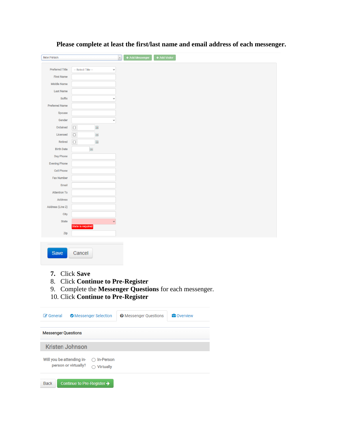| <b>New Person</b>          |                                                                                                            | + Add Messenger              | + Add Visitor                                           |
|----------------------------|------------------------------------------------------------------------------------------------------------|------------------------------|---------------------------------------------------------|
| <b>Preferred Title</b>     | -- Select Title --                                                                                         | $\check{~}$                  |                                                         |
| <b>First Name</b>          |                                                                                                            |                              |                                                         |
| <b>Middle Name</b>         |                                                                                                            |                              |                                                         |
| <b>Last Name</b>           |                                                                                                            |                              |                                                         |
| <b>Suffix</b>              |                                                                                                            | v                            |                                                         |
| <b>Preferred Name</b>      |                                                                                                            |                              |                                                         |
| Spouse                     |                                                                                                            |                              |                                                         |
| Gender                     |                                                                                                            | $\checkmark$                 |                                                         |
| Ordained                   | $\Box$<br>$\boxed{\boxplus}$                                                                               |                              |                                                         |
| Licensed                   | $\Box$<br>匾                                                                                                |                              |                                                         |
| <b>Retired</b>             | $\Box$<br>œ                                                                                                |                              |                                                         |
| <b>Birth Date</b>          | E                                                                                                          |                              |                                                         |
| Day Phone                  |                                                                                                            |                              |                                                         |
| <b>Evening Phone</b>       |                                                                                                            |                              |                                                         |
| <b>Cell Phone</b>          |                                                                                                            |                              |                                                         |
| <b>Fax Number</b>          |                                                                                                            |                              |                                                         |
| Email                      |                                                                                                            |                              |                                                         |
| <b>Attention To</b>        |                                                                                                            |                              |                                                         |
| <b>Address</b>             |                                                                                                            |                              |                                                         |
| Address (Line 2)           |                                                                                                            |                              |                                                         |
| <b>City</b>                |                                                                                                            |                              |                                                         |
| <b>State</b>               |                                                                                                            | $\checkmark$                 |                                                         |
|                            | State is required                                                                                          |                              |                                                         |
| Zip                        |                                                                                                            |                              |                                                         |
| Save<br>7.<br>8.           | Cancel<br><b>Click Save</b><br><b>Click Continue to Pre-Register</b><br>10. Click Continue to Pre-Register |                              | 9. Complete the Messenger Questions for each messenger. |
| General                    | <b>O</b> Messenger Selection                                                                               | <b>@</b> Messenger Questions | <b>B</b> Overview                                       |
| <b>Messenger Questions</b> |                                                                                                            |                              |                                                         |
| <b>Kristen Johnson</b>     |                                                                                                            |                              |                                                         |
| Will you be attending in-  | $\bigcirc$ In-Person                                                                                       |                              |                                                         |
| person or virtually?       | $\bigcirc$ Virtually                                                                                       |                              |                                                         |
| <b>Back</b>                | Continue to Pre-Register →                                                                                 |                              |                                                         |
|                            |                                                                                                            |                              |                                                         |

**Please complete at least the first/last name and email address of each messenger.**